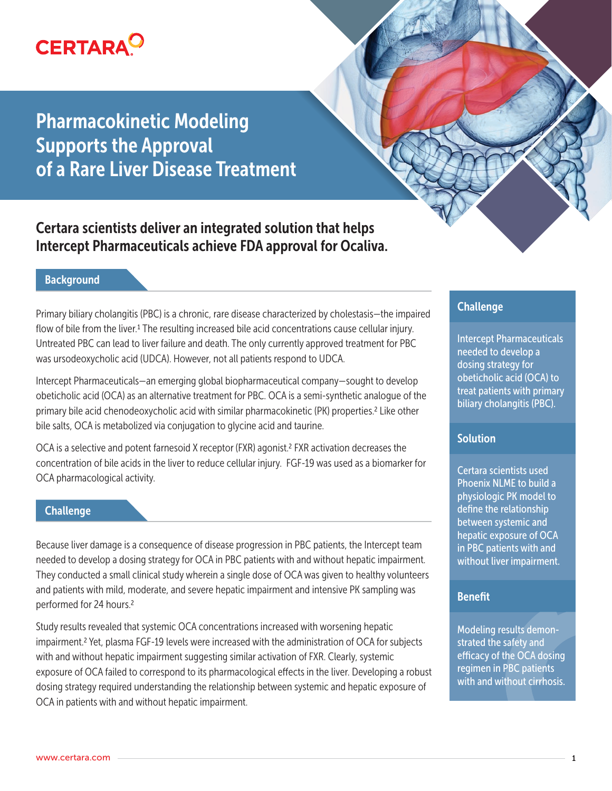

Pharmacokinetic Modeling Supports the Approval of a Rare Liver Disease Treatment

Certara scientists deliver an integrated solution that helps Intercept Pharmaceuticals achieve FDA approval for Ocaliva.

## **Background**

Primary biliary cholangitis (PBC) is a chronic, rare disease characterized by cholestasis—the impaired flow of bile from the liver.1 The resulting increased bile acid concentrations cause cellular injury. Untreated PBC can lead to liver failure and death. The only currently approved treatment for PBC was ursodeoxycholic acid (UDCA). However, not all patients respond to UDCA.

Intercept Pharmaceuticals—an emerging global biopharmaceutical company—sought to develop obeticholic acid (OCA) as an alternative treatment for PBC. OCA is a semi-synthetic analogue of the primary bile acid chenodeoxycholic acid with similar pharmacokinetic (PK) properties.<sup>2</sup> Like other bile salts, OCA is metabolized via conjugation to glycine acid and taurine.

OCA is a selective and potent farnesoid X receptor (FXR) agonist.2 FXR activation decreases the concentration of bile acids in the liver to reduce cellular injury. FGF-19 was used as a biomarker for OCA pharmacological activity.

## **Challenge**

Because liver damage is a consequence of disease progression in PBC patients, the Intercept team needed to develop a dosing strategy for OCA in PBC patients with and without hepatic impairment. They conducted a small clinical study wherein a single dose of OCA was given to healthy volunteers and patients with mild, moderate, and severe hepatic impairment and intensive PK sampling was performed for 24 hours.2

Study results revealed that systemic OCA concentrations increased with worsening hepatic impairment.2 Yet, plasma FGF-19 levels were increased with the administration of OCA for subjects with and without hepatic impairment suggesting similar activation of FXR. Clearly, systemic exposure of OCA failed to correspond to its pharmacological effects in the liver. Developing a robust dosing strategy required understanding the relationship between systemic and hepatic exposure of OCA in patients with and without hepatic impairment.

# Challenge

Intercept Pharmaceuticals needed to develop a dosing strategy for obeticholic acid (OCA) to treat patients with primary biliary cholangitis (PBC).

## **Solution**

Certara scientists used Phoenix NLME to build a physiologic PK model to define the relationship between systemic and hepatic exposure of OCA in PBC patients with and without liver impairment.

## Benefit

Modeling results demonstrated the safety and efficacy of the OCA dosing regimen in PBC patients with and without cirrhosis.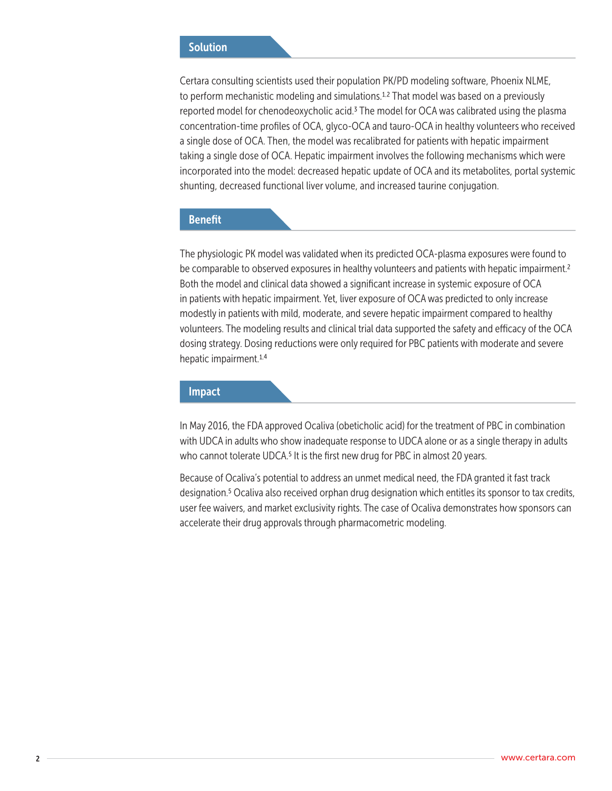## **Solution**

Certara consulting scientists used their population PK/PD modeling software, Phoenix NLME, to perform mechanistic modeling and simulations.<sup>1,2</sup> That model was based on a previously reported model for chenodeoxycholic acid.3 The model for OCA was calibrated using the plasma concentration-time profiles of OCA, glyco-OCA and tauro-OCA in healthy volunteers who received a single dose of OCA. Then, the model was recalibrated for patients with hepatic impairment taking a single dose of OCA. Hepatic impairment involves the following mechanisms which were incorporated into the model: decreased hepatic update of OCA and its metabolites, portal systemic shunting, decreased functional liver volume, and increased taurine conjugation.

### Benefit

The physiologic PK model was validated when its predicted OCA-plasma exposures were found to be comparable to observed exposures in healthy volunteers and patients with hepatic impairment.<sup>2</sup> Both the model and clinical data showed a significant increase in systemic exposure of OCA in patients with hepatic impairment. Yet, liver exposure of OCA was predicted to only increase modestly in patients with mild, moderate, and severe hepatic impairment compared to healthy volunteers. The modeling results and clinical trial data supported the safety and efficacy of the OCA dosing strategy. Dosing reductions were only required for PBC patients with moderate and severe hepatic impairment.<sup>1,4</sup>

#### Impact

In May 2016, the FDA approved Ocaliva (obeticholic acid) for the treatment of PBC in combination with UDCA in adults who show inadequate response to UDCA alone or as a single therapy in adults who cannot tolerate UDCA.<sup>5</sup> It is the first new drug for PBC in almost 20 years.

Because of Ocaliva's potential to address an unmet medical need, the FDA granted it fast track designation.5 Ocaliva also received orphan drug designation which entitles its sponsor to tax credits, user fee waivers, and market exclusivity rights. The case of Ocaliva demonstrates how sponsors can accelerate their drug approvals through pharmacometric modeling.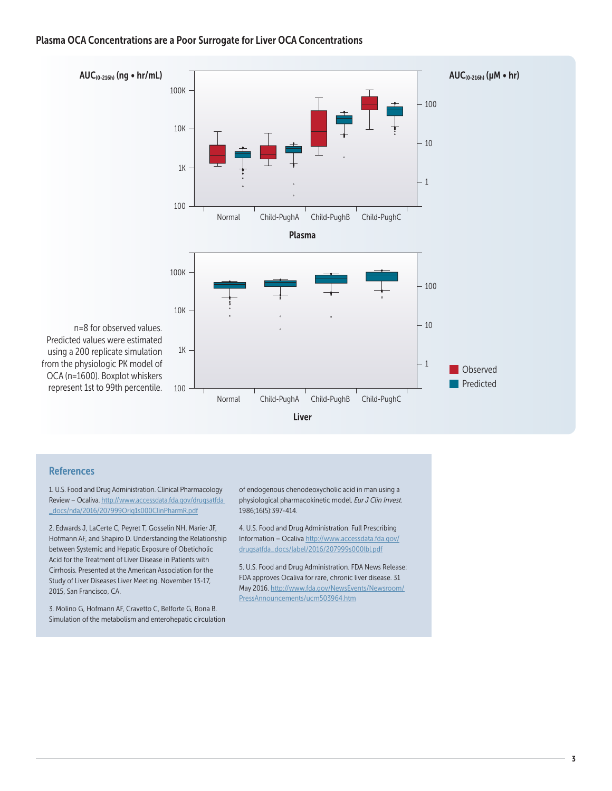### Plasma OCA Concentrations are a Poor Surrogate for Liver OCA Concentrations



#### **References**

1. U.S. Food and Drug Administration. Clinical Pharmacology Review – Ocaliva. http://www.accessdata.fda.gov/drugsatfda \_docs/nda/2016/207999Orig1s000ClinPharmR.pdf

2. Edwards J, LaCerte C, Peyret T, Gosselin NH, Marier JF, Hofmann AF, and Shapiro D. Understanding the Relationship between Systemic and Hepatic Exposure of Obeticholic Acid for the Treatment of Liver Disease in Patients with Cirrhosis. Presented at the American Association for the Study of Liver Diseases Liver Meeting. November 13-17, 2015, San Francisco, CA.

3. Molino G, Hofmann AF, Cravetto C, Belforte G, Bona B. Simulation of the metabolism and enterohepatic circulation

of endogenous chenodeoxycholic acid in man using a physiological pharmacokinetic model. *Eur J Clin Invest.* 1986;16(5):397-414.

4. U.S. Food and Drug Administration. Full Prescribing Information – Ocaliva http://www.accessdata.fda.gov/ drugsatfda\_docs/label/2016/207999s000lbl.pdf

5. U.S. Food and Drug Administration. FDA News Release: FDA approves Ocaliva for rare, chronic liver disease. 31 May 2016. http://www.fda.gov/NewsEvents/Newsroom/ PressAnnouncements/ucm503964.htm